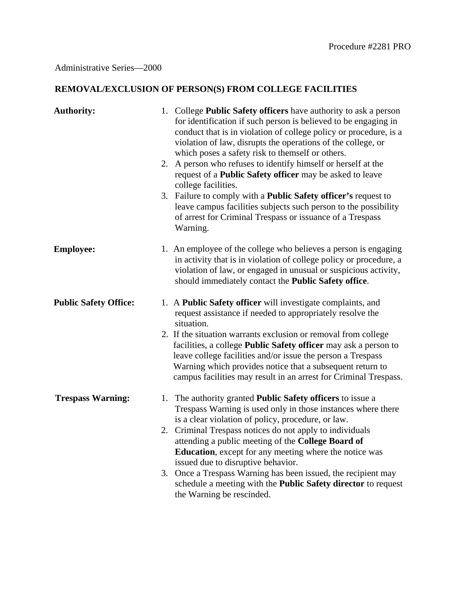## Administrative Series—2000

## **REMOVAL/EXCLUSION OF PERSON(S) FROM COLLEGE FACILITIES**

| <b>Authority:</b>            | 1. College Public Safety officers have authority to ask a person<br>for identification if such person is believed to be engaging in<br>conduct that is in violation of college policy or procedure, is a<br>violation of law, disrupts the operations of the college, or<br>which poses a safety risk to themself or others.<br>2. A person who refuses to identify himself or herself at the<br>request of a <b>Public Safety officer</b> may be asked to leave<br>college facilities.<br>3. Failure to comply with a Public Safety officer's request to<br>leave campus facilities subjects such person to the possibility<br>of arrest for Criminal Trespass or issuance of a Trespass<br>Warning. |
|------------------------------|-------------------------------------------------------------------------------------------------------------------------------------------------------------------------------------------------------------------------------------------------------------------------------------------------------------------------------------------------------------------------------------------------------------------------------------------------------------------------------------------------------------------------------------------------------------------------------------------------------------------------------------------------------------------------------------------------------|
| <b>Employee:</b>             | 1. An employee of the college who believes a person is engaging<br>in activity that is in violation of college policy or procedure, a<br>violation of law, or engaged in unusual or suspicious activity,<br>should immediately contact the Public Safety office.                                                                                                                                                                                                                                                                                                                                                                                                                                      |
| <b>Public Safety Office:</b> | 1. A Public Safety officer will investigate complaints, and<br>request assistance if needed to appropriately resolve the<br>situation.<br>2. If the situation warrants exclusion or removal from college<br>facilities, a college Public Safety officer may ask a person to<br>leave college facilities and/or issue the person a Trespass<br>Warning which provides notice that a subsequent return to<br>campus facilities may result in an arrest for Criminal Trespass.                                                                                                                                                                                                                           |
| <b>Trespass Warning:</b>     | 1. The authority granted <b>Public Safety officers</b> to issue a<br>Trespass Warning is used only in those instances where there<br>is a clear violation of policy, procedure, or law.<br>2. Criminal Trespass notices do not apply to individuals<br>attending a public meeting of the College Board of<br>Education, except for any meeting where the notice was<br>issued due to disruptive behavior.<br>3. Once a Trespass Warning has been issued, the recipient may<br>schedule a meeting with the Public Safety director to request<br>the Warning be rescinded.                                                                                                                              |